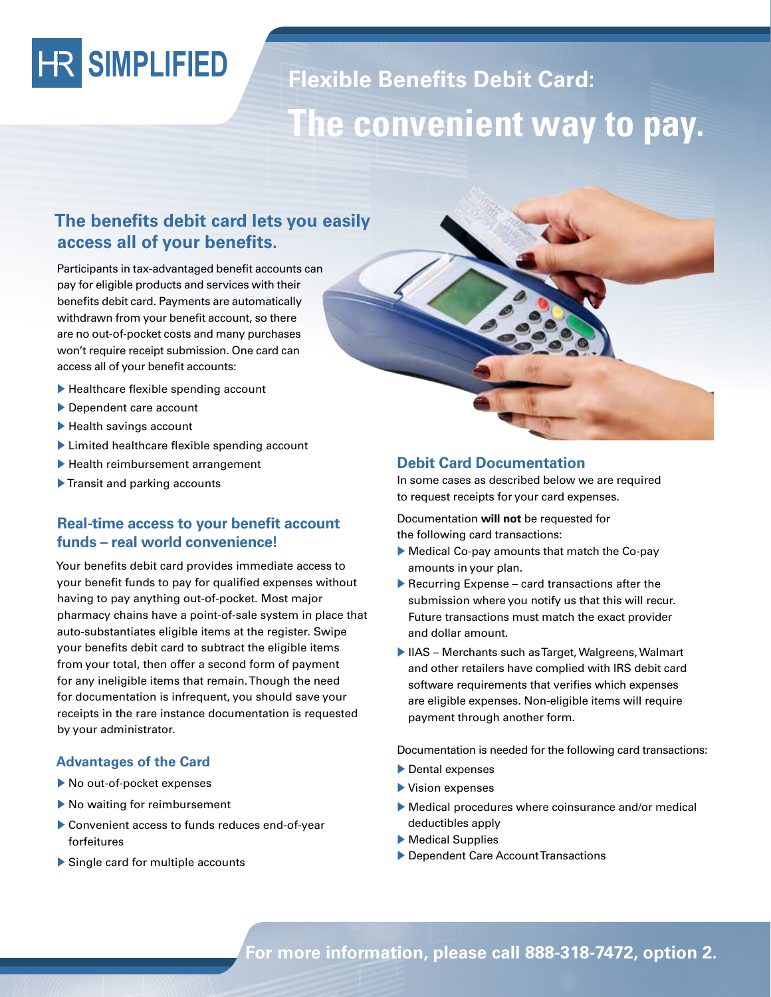# **SIMPLIFIED**

## **Flexible Benefits Debit Card: The convenient way to pay.**

### **The benefits debit card lets you easily access all of your benefits.**

Participants in tax-advantaged benefit accounts can pay for eligible products and services with their benefits debit card. Payments are automatically withdrawn from your benefit account, so there are no out-of-pocket costs and many purchases won't require receipt submission. One card can access all of your benefit accounts:

- $\blacktriangleright$  Healthcare flexible spending account
- $\blacktriangleright$  Dependent care account
- $\blacktriangleright$  Health savings account
- $\blacktriangleright$  Limited healthcare flexible spending account
- $\blacktriangleright$  Health reimbursement arrangement
- $\blacktriangleright$  Transit and parking accounts

#### **Real-time access to your benefit account funds – real world convenience!**

Your benefits debit card provides immediate access to your benefit funds to pay for qualified expenses without having to pay anything out-of-pocket. Most major pharmacy chains have a point-of-sale system in place that auto-substantiates eligible items at the register. Swipe your benefits debit card to subtract the eligible items from your total, then offer a second form of payment for any ineligible items that remain. Though the need for documentation is infrequent, you should save your receipts in the rare instance documentation is requested by your administrator.

#### **Advantages of the Card**

- $\blacktriangleright$  No out-of-pocket expenses
- $\blacktriangleright$  No waiting for reimbursement
- ▶ Convenient access to funds reduces end-of-year forfeitures
- $\triangleright$  Single card for multiple accounts



#### **Debit Card Documentation**

In some cases as described below we are required to request receipts for your card expenses.

Documentation **will not** be requested for the following card transactions:

- $\blacktriangleright$  Medical Co-pay amounts that match the Co-pay amounts in your plan.
- $\blacktriangleright$  Recurring Expense card transactions after the submission where you notify us that this will recur. Future transactions must match the exact provider and dollar amount.
- IIAS Merchants such as Target, Walgreens, Walmart and other retailers have complied with IRS debit card software requirements that verifies which expenses are eligible expenses. Non-eligible items will require payment through another form.

Documentation is needed for the following card transactions:

- $\blacktriangleright$  Dental expenses
- $\blacktriangleright$  Vision expenses
- $\blacktriangleright$  Medical procedures where coinsurance and/or medical deductibles apply
- $\blacktriangleright$  Medical Supplies
- Dependent Care Account Transactions